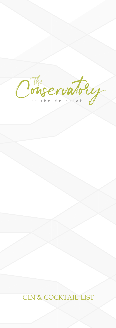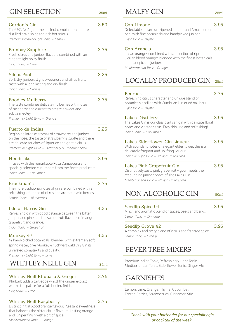| <b>GIN SELECTION</b>                                                                                                                                                                                                                               | 25ml |
|----------------------------------------------------------------------------------------------------------------------------------------------------------------------------------------------------------------------------------------------------|------|
| Gordon's Gin<br>The UK's No.1 gin - the perfect combination of pure<br>distilled grain spirit and rich botanicals.<br>Premium Indian or Light Tonic - Lemon                                                                                        | 3.50 |
| <b>Bombay Sapphire</b><br>Fresh citrus and juniper flavours combined with an<br>elegant light spicy finish.<br>Indian Tonic - Lime                                                                                                                 | 3.75 |
| Silent Pool<br>Soft, dry, juniper, slight sweetness and citrus fruits<br>taste with a long lasting and dry finish.<br>Indian Tonic - Orange                                                                                                        | 3.25 |
| <b>Boodles Mulberry</b><br>The taste combines delicate mulberries with notes<br>of raspberry and currant to create a sweet and<br>subtle medley.<br>Premium or Light Tonic - Orange                                                                | 3.75 |
| Puerto de Indias<br>Beginning intense aromas of strawberry and juniper<br>on the nose, the taste of strawberry is subtle and there<br>are delicate touches of liquorice and gentle citrus.<br>Premium or Light Tonic - Strawberry & Cinnamon Stick | 3.25 |
| <b>Hendricks</b><br>Infused with the remarkable Rosa Damascena and<br>specially selected cucumbers from the finest producers.<br>Indian Tonic - Cucumber                                                                                           | 3.95 |
| <b>Brockman's</b><br>The more traditional notes of gin are combined with a<br>refreshing influence of citrus and aromatic wild berries.<br>Lemon Tonic - Blueberries                                                                               | 3.75 |
| <b>Isle of Harris Gin</b><br>Refreshing gin with good balance between the bitter<br>juniper and pine and the sweet fruit flavours of mango,<br>grapefruit and orange.<br>Indian Tonic - Grapefruit                                                 | 4.25 |
| Monkey 47<br>47 hand-picked botanicals, blended with extremely soft<br>spring water, give Monkey 47 Schwarzwald Dry Gin its<br>unrivaled complexity and quality.<br>Premium or Light Tonic - Lime                                                  | 4.25 |
| WHITLEY NEILL GIN                                                                                                                                                                                                                                  | 25ml |
| Whitley Neill Rhubarb & Ginger<br>Rhubarb adds a tart edge whilst the ginger extract<br>warms the palate for a full-bodied finish.                                                                                                                 | 3.75 |

*Ginger Ale – Lime*

# Whitley Neill Raspberry 3.75

Distinct initial blood orange flavour. Pleasant sweetness that balances the bitter citrus flavours. Lasting orange and juniper finish with a bit of spice. *Mediterranean Tonic – Orange*

# MALFY GIN

# Con Limone 3.95

Delectable Italian sun-ripened lemons and Amalfi lemon peel with fine botanicals and handpicked juniper. *Light Tonic – Thyme*

# Con Arancia 3.95

Italian oranges combined with a selection of ripe Sicilian blood oranges blended with the finest botanicals and handpicked juniper. *Mediterranean Tonic – Orange*

#### LOCALLY PRODUCED GIN 25ml

# Bedrock 3.75

Refreshing citrus character and unique blend of botanicals distilled with Cumbrian kiln dried oak bark. *Light Tonic – Thyme*

# Lakes Distillery 3.95

The Lakes Gin is our classic artisan gin with delicate floral notes and vibrant citrus. Easy drinking and refreshing! *Indian Tonic – Cucumber*

| Lakes Elderflower Gin Liqueur                         | 3.95 |
|-------------------------------------------------------|------|
| With abundant notes of elegant elderflower, this is a |      |
| delicately fragrant and uplifting liqueur.            |      |
| Indian or Light Tonic – No garnish reguired           |      |
|                                                       |      |

# Lakes Pink Grapefruit Gin 3.95

Distinctively zesty pink grapefruit vigour meets the resounding juniper notes of The Lakes Gin. *Mediterranean Tonic – No garnish required*

#### NON ALCOHOLIC GIN 50ml

### Seedlip Spice 94 3.95 A rich and aromatic blend of spices, peels and barks. *Lemon Tonic – Cinnamon*

# Seedlip Grove 42 3.95 A complex and zesty blend of citrus and fragrant spice. *Lemon Tonic – Orange*

# FEVER TREE MIXERS

Premium Indian Tonic, Refreshingly Light Tonic, Mediterranean Tonic, Elderflower Tonic, Ginger Ale

# **GARNISHES**

Lemon, Lime, Orange, Thyme, Cucumber, Frozen Berries, Strawberries, Cinnamon Stick

*Check with your bartender for our speciality gin or cocktail of the week.*

25ml